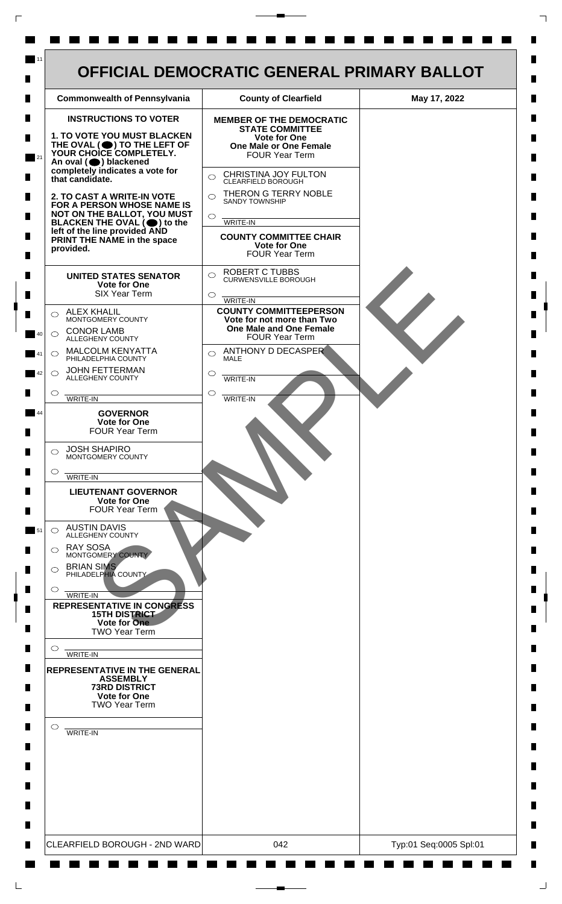

 $\mathsf{L}$